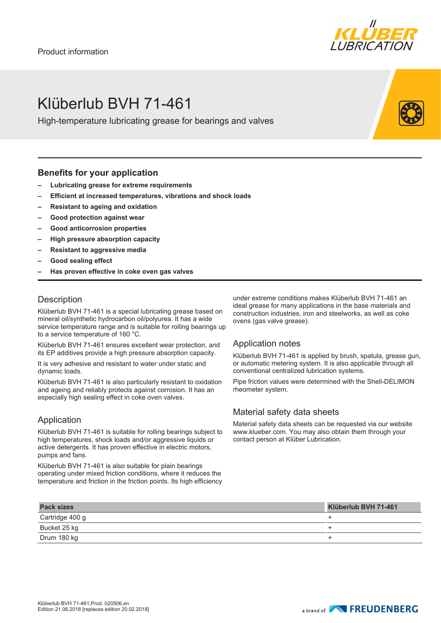

### Klüberlub BVH 71-461

High-temperature lubricating grease for bearings and valves

#### **Benefits for your application**

- **– Lubricating grease for extreme requirements**
- **– Efficient at increased temperatures, vibrations and shock loads**
- **– Resistant to ageing and oxidation**
- **– Good protection against wear**
- **– Good anticorrosion properties**
- **– High pressure absorption capacity**
- **– Resistant to aggressive media**
- **– Good sealing effect**
- **– Has proven effective in coke oven gas valves**

#### **Description**

Klüberlub BVH 71-461 is a special lubricating grease based on mineral oil/synthetic hydrocarbon oil/polyurea. It has a wide service temperature range and is suitable for rolling bearings up to a service temperature of 160 °C.

Klüberlub BVH 71-461 ensures excellent wear protection, and its EP additives provide a high pressure absorption capacity.

It is very adhesive and resistant to water under static and dynamic loads.

Klüberlub BVH 71-461 is also particularly resistant to oxidation and ageing and reliably protects against corrosion. It has an especially high sealing effect in coke oven valves.

#### Application

Klüberlub BVH 71-461 is suitable for rolling bearings subject to high temperatures, shock loads and/or aggressive liquids or active detergents. It has proven effective in electric motors, pumps and fans.

Klüberlub BVH 71-461 is also suitable for plain bearings operating under mixed friction conditions, where it reduces the temperature and friction in the friction points. Its high efficiency under extreme conditions makes Klüberlub BVH 71-461 an ideal grease for many applications in the base materials and construction industries, iron and steelworks, as well as coke ovens (gas valve grease).

#### Application notes

Klüberlub BVH 71-461 is applied by brush, spatula, grease gun, or automatic metering system. It is also applicable through all conventional centralized lubrication systems.

Pipe friction values were determined with the Shell-DELIMON rheometer system.

#### Material safety data sheets

Material safety data sheets can be requested via our website www.klueber.com. You may also obtain them through your contact person at Klüber Lubrication.

| <b>Pack sizes</b> | Klüberlub BVH 71-461 |
|-------------------|----------------------|
| Cartridge 400 g   |                      |
| Bucket 25 kg      |                      |
| Drum 180 kg       |                      |

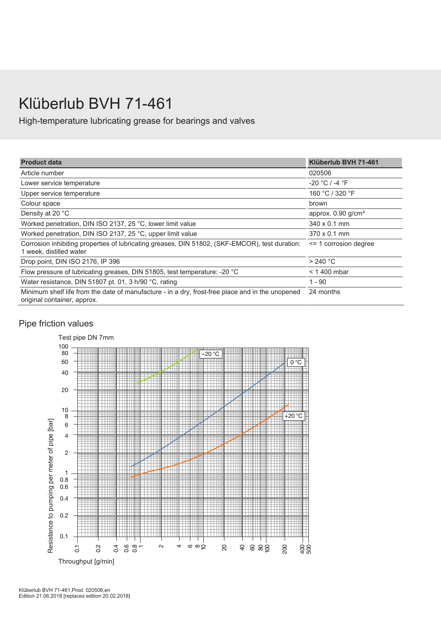# Klüberlub BVH 71-461

High-temperature lubricating grease for bearings and valves

| <b>Product data</b>                                                                                                             | Klüberlub BVH 71-461             |
|---------------------------------------------------------------------------------------------------------------------------------|----------------------------------|
| Article number                                                                                                                  | 020506                           |
| Lower service temperature                                                                                                       | $-20 °C / -4 °F$                 |
| Upper service temperature                                                                                                       | 160 °C / 320 °F                  |
| Colour space                                                                                                                    | brown                            |
| Density at 20 °C                                                                                                                | approx. $0.90$ g/cm <sup>3</sup> |
| Worked penetration, DIN ISO 2137, 25 °C, lower limit value                                                                      | $340 \times 0.1$ mm              |
| Worked penetration, DIN ISO 2137, 25 °C, upper limit value                                                                      | $370 \times 0.1$ mm              |
| Corrosion inhibiting properties of lubricating greases, DIN 51802, (SKF-EMCOR), test duration:<br>1 week, distilled water       | $\le$ 1 corrosion degree         |
| Drop point, DIN ISO 2176, IP 396                                                                                                | $>$ 240 °C                       |
| Flow pressure of lubricating greases, DIN 51805, test temperature: - 20 °C                                                      | $<$ 1 400 mbar                   |
| Water resistance, DIN 51807 pt. 01, 3 h/90 °C, rating                                                                           | 1 - 90                           |
| Minimum shelf life from the date of manufacture - in a dry, frost-free place and in the unopened<br>original container, approx. | 24 months                        |

### Pipe friction values

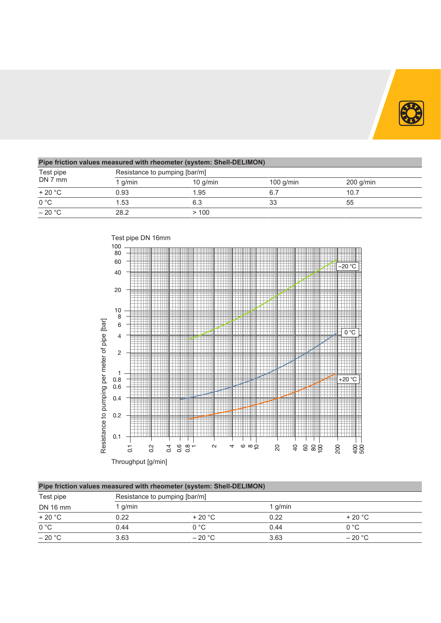

| Pipe friction values measured with rheometer (system: Shell-DELIMON) |                               |            |             |             |  |  |
|----------------------------------------------------------------------|-------------------------------|------------|-------------|-------------|--|--|
| Test pipe<br>DN 7 mm                                                 | Resistance to pumping [bar/m] |            |             |             |  |  |
|                                                                      | g/min                         | $10$ g/min | 100 $g/min$ | $200$ g/min |  |  |
| $+20 °C$                                                             | 0.93                          | 1.95       | 6.7         | 10.7        |  |  |
| $\overline{0^{\circ}C}$                                              | 1.53                          | 6.3        | 33          | 55          |  |  |
| $-20 °C$                                                             | 28.2                          | >100       |             |             |  |  |



| Test pipe | Resistance to pumping [bar/m] |                |           |                |  |
|-----------|-------------------------------|----------------|-----------|----------------|--|
| DN 16 mm  | $1$ g/min                     |                | 1 $q/min$ |                |  |
| $+20 °C$  | 0.22                          | $+20\degree$ C | 0.22      | $+20\degree$ C |  |
| 0 °C      | 0.44                          | 0 °C           | 0.44      | 0 °C           |  |
| $-20 °C$  | 3.63                          | $-20$ °C       | 3.63      | $-20 °C$       |  |